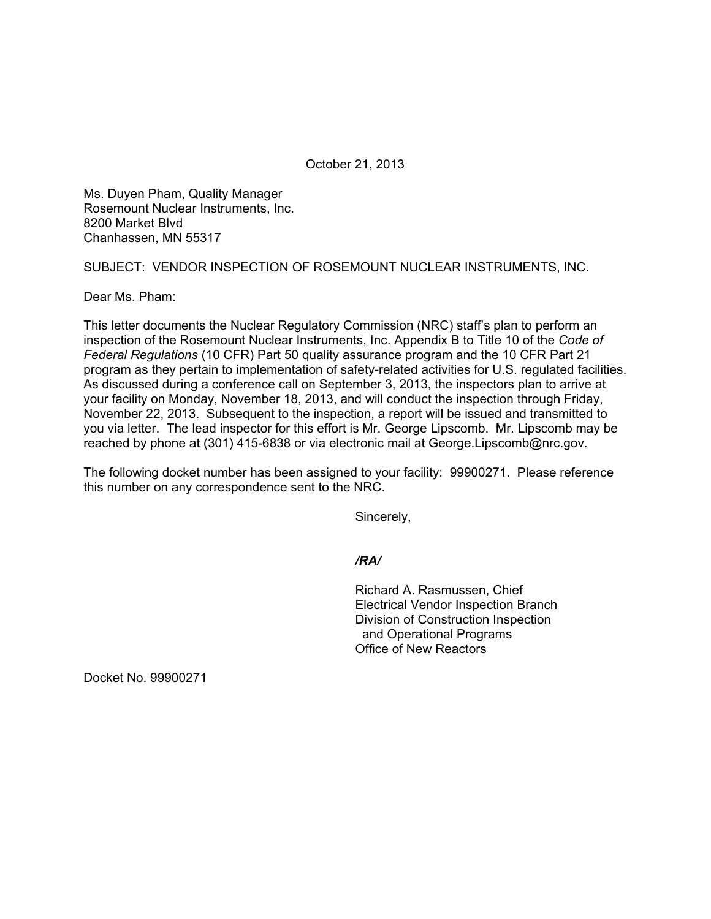October 21, 2013

Ms. Duyen Pham, Quality Manager Rosemount Nuclear Instruments, Inc. 8200 Market Blvd Chanhassen, MN 55317

SUBJECT: VENDOR INSPECTION OF ROSEMOUNT NUCLEAR INSTRUMENTS, INC.

Dear Ms. Pham:

This letter documents the Nuclear Regulatory Commission (NRC) staff's plan to perform an inspection of the Rosemount Nuclear Instruments, Inc. Appendix B to Title 10 of the *Code of Federal Regulations* (10 CFR) Part 50 quality assurance program and the 10 CFR Part 21 program as they pertain to implementation of safety-related activities for U.S. regulated facilities. As discussed during a conference call on September 3, 2013, the inspectors plan to arrive at your facility on Monday, November 18, 2013, and will conduct the inspection through Friday, November 22, 2013. Subsequent to the inspection, a report will be issued and transmitted to you via letter. The lead inspector for this effort is Mr. George Lipscomb. Mr. Lipscomb may be reached by phone at (301) 415-6838 or via electronic mail at George.Lipscomb@nrc.gov.

The following docket number has been assigned to your facility: 99900271. Please reference this number on any correspondence sent to the NRC.

Sincerely,

*/RA/* 

Richard A. Rasmussen, Chief Electrical Vendor Inspection Branch Division of Construction Inspection and Operational Programs Office of New Reactors

Docket No. 99900271